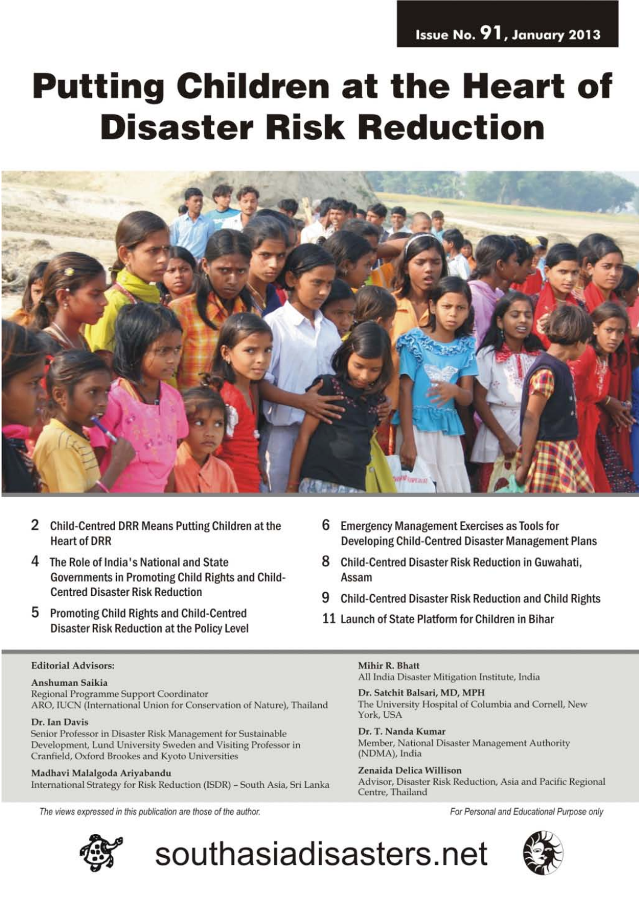# **Putting Children at the Heart of Disaster Risk Reduction**



- 2 Child-Centred DRR Means Putting Children at the **Heart of DRR**
- 4 The Role of India's National and State Governments in Promoting Child Rights and Child-**Centred Disaster Risk Reduction**
- 5 Promoting Child Rights and Child-Centred **Disaster Risk Reduction at the Policy Level**
- **Editorial Advisors:**

### Anshuman Saikia

Regional Programme Support Coordinator ARO, IUCN (International Union for Conservation of Nature), Thailand

#### Dr. Ian Davis

Senior Professor in Disaster Risk Management for Sustainable Development, Lund University Sweden and Visiting Professor in Cranfield, Oxford Brookes and Kyoto Universities

Madhavi Malalgoda Ariyabandu International Strategy for Risk Reduction (ISDR) - South Asia, Sri Lanka

The views expressed in this publication are those of the author.



- 6 Emergency Management Exercises as Tools for **Developing Child-Centred Disaster Management Plans**
- 8 Child-Centred Disaster Risk Reduction in Guwahati. Assam
- 9 Child-Centred Disaster Risk Reduction and Child Rights
- 11 Launch of State Platform for Children in Bihar

#### Mihir R. Bhatt

southasiadisasters.net

All India Disaster Mitigation Institute, India

Dr. Satchit Balsari, MD, MPH The University Hospital of Columbia and Cornell, New York, USA

Dr. T. Nanda Kumar Member, National Disaster Management Authority (NDMA), India

Zenaida Delica Willison Advisor, Disaster Risk Reduction, Asia and Pacific Regional Centre, Thailand

For Personal and Educational Purpose only

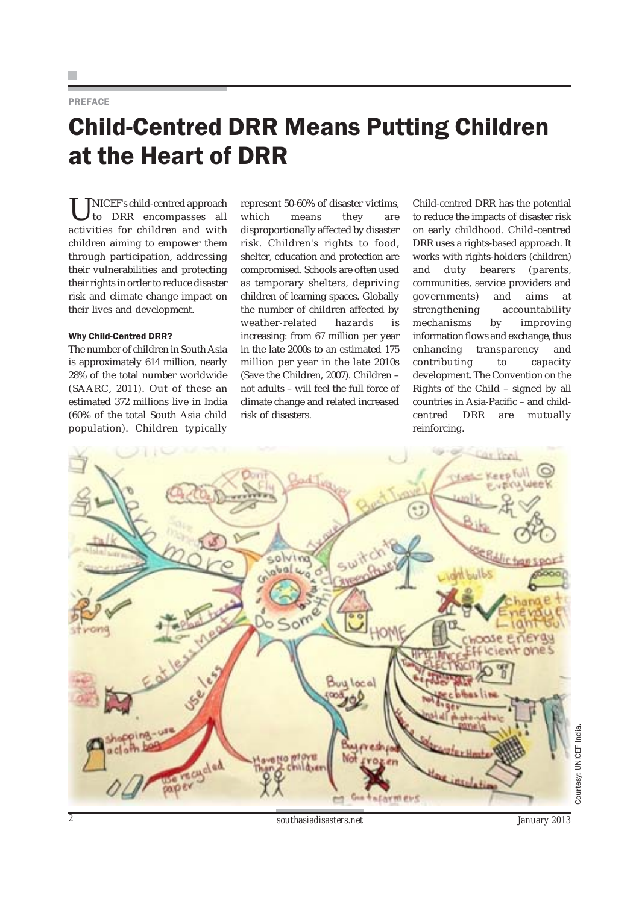### PREFACE

## Child-Centred DRR Means Putting Children at the Heart of DRR

NICEF's child-centred approach to DRR encompasses all activities for children and with children aiming to empower them through participation, addressing their vulnerabilities and protecting their rights in order to reduce disaster risk and climate change impact on their lives and development.

#### Why Child-Centred DRR?

The number of children in South Asia is approximately 614 million, nearly 28% of the total number worldwide (SAARC, 2011). Out of these an estimated 372 millions live in India (60% of the total South Asia child population). Children typically

represent 50-60% of disaster victims, which means they are disproportionally affected by disaster risk. Children's rights to food, shelter, education and protection are compromised. Schools are often used as temporary shelters, depriving children of learning spaces. Globally the number of children affected by weather-related hazards is increasing: from 67 million per year in the late 2000s to an estimated 175 million per year in the late 2010s (Save the Children, 2007). Children – not adults – will feel the full force of climate change and related increased risk of disasters.

Child-centred DRR has the potential to reduce the impacts of disaster risk on early childhood. Child-centred DRR uses a rights-based approach. It works with rights-holders (children) and duty bearers (parents, communities, service providers and governments) and aims at strengthening accountability mechanisms by improving information flows and exchange, thus enhancing transparency and contributing to capacity development. The Convention on the Rights of the Child – signed by all countries in Asia-Pacific – and childcentred DRR are mutually reinforcing.

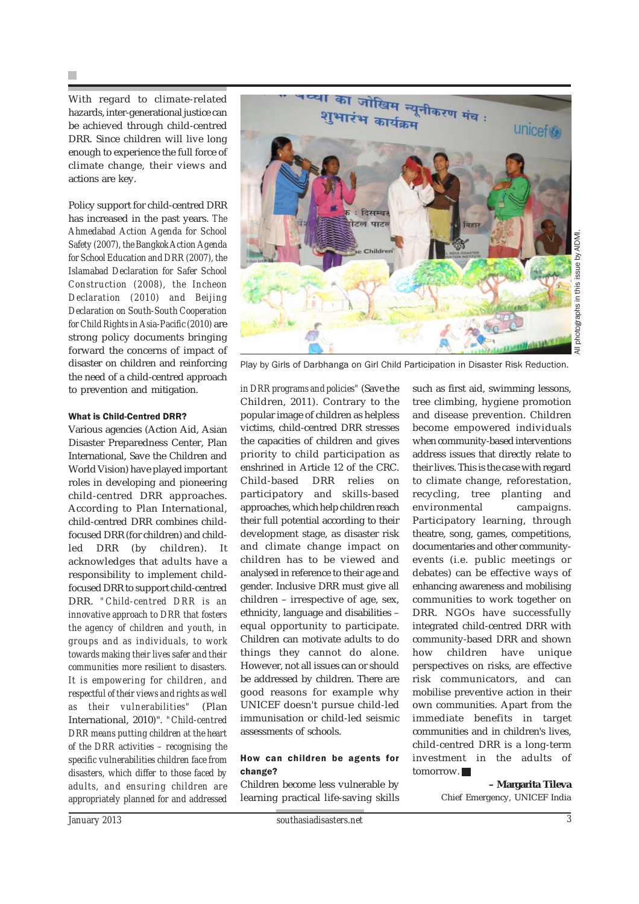With regard to climate-related hazards, inter-generational justice can be achieved through child-centred DRR. Since children will live long enough to experience the full force of climate change, their views and actions are key.

Policy support for child-centred DRR has increased in the past years. *The Ahmedabad Action Agenda for School Safety (2007), the Bangkok Action Agenda for School Education and DRR (2007), the Islamabad Declaration for Safer School Construction (2008), the Incheon Declaration (2010) and Beijing Declaration on South-South Cooperation for Child Rights in Asia-Pacific (2010)* are strong policy documents bringing forward the concerns of impact of disaster on children and reinforcing the need of a child-centred approach to prevention and mitigation.

### What is Child-Centred DRR?

Various agencies (Action Aid, Asian Disaster Preparedness Center, Plan International, Save the Children and World Vision) have played important roles in developing and pioneering child-centred DRR approaches. According to Plan International, child-centred DRR combines childfocused DRR (for children) and childled DRR (by children). It acknowledges that adults have a responsibility to implement childfocused DRR to support child-centred DRR. *"Child-centred DRR is an innovative approach to DRR that fosters the agency of children and youth, in groups and as individuals, to work towards making their lives safer and their communities more resilient to disasters. It is empowering for children, and respectful of their views and rights as well as their vulnerabilities"* (Plan International, 2010)". *"Child-centred DRR means putting children at the heart of the DRR activities – recognising the specific vulnerabilities children face from disasters, which differ to those faced by adults, and ensuring children are appropriately planned for and addressed*



Play by Girls of Darbhanga on Girl Child Participation in Disaster Risk Reduction.

*in DRR programs and policies"* (Save the Children, 2011). Contrary to the popular image of children as helpless victims, child-centred DRR stresses the capacities of children and gives priority to child participation as enshrined in Article 12 of the CRC. Child-based DRR relies on participatory and skills-based approaches, which help children reach their full potential according to their development stage, as disaster risk and climate change impact on children has to be viewed and analysed in reference to their age and gender. Inclusive DRR must give all children – irrespective of age, sex, ethnicity, language and disabilities – equal opportunity to participate. Children can motivate adults to do things they cannot do alone. However, not all issues can or should be addressed by children. There are good reasons for example why UNICEF doesn't pursue child-led immunisation or child-led seismic assessments of schools.

### How can children be agents for change?

Children become less vulnerable by learning practical life-saving skills such as first aid, swimming lessons, tree climbing, hygiene promotion and disease prevention. Children become empowered individuals when community-based interventions address issues that directly relate to their lives. This is the case with regard to climate change, reforestation, recycling, tree planting and environmental campaigns. Participatory learning, through theatre, song, games, competitions, documentaries and other communityevents (i.e. public meetings or debates) can be effective ways of enhancing awareness and mobilising communities to work together on DRR. NGOs have successfully integrated child-centred DRR with community-based DRR and shown how children have unique perspectives on risks, are effective risk communicators, and can mobilise preventive action in their own communities. Apart from the immediate benefits in target communities and in children's lives, child-centred DRR is a long-term investment in the adults of tomorrow.

> **– Margarita Tileva** Chief Emergency, UNICEF India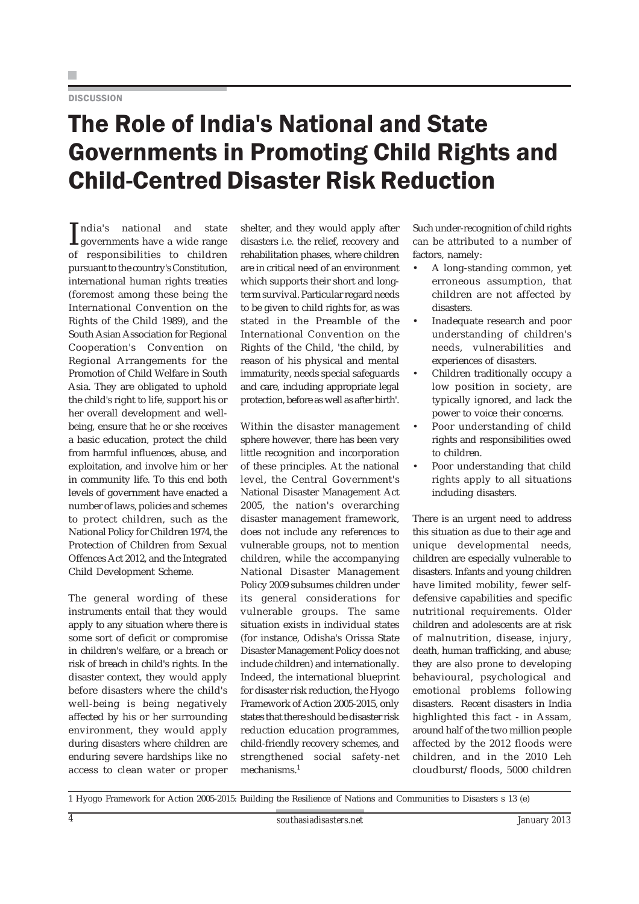## The Role of India's National and State Governments in Promoting Child Rights and Child-Centred Disaster Risk Reduction

India's national and state governments have a wide range ndia's national and state of responsibilities to children pursuant to the country's Constitution, international human rights treaties (foremost among these being the International Convention on the Rights of the Child 1989), and the South Asian Association for Regional Cooperation's Convention on Regional Arrangements for the Promotion of Child Welfare in South Asia. They are obligated to uphold the child's right to life, support his or her overall development and wellbeing, ensure that he or she receives a basic education, protect the child from harmful influences, abuse, and exploitation, and involve him or her in community life. To this end both levels of government have enacted a number of laws, policies and schemes to protect children, such as the National Policy for Children 1974, the Protection of Children from Sexual Offences Act 2012, and the Integrated Child Development Scheme.

The general wording of these instruments entail that they would apply to any situation where there is some sort of deficit or compromise in children's welfare, or a breach or risk of breach in child's rights. In the disaster context, they would apply before disasters where the child's well-being is being negatively affected by his or her surrounding environment, they would apply during disasters where children are enduring severe hardships like no access to clean water or proper

shelter, and they would apply after disasters i.e. the relief, recovery and rehabilitation phases, where children are in critical need of an environment which supports their short and longterm survival. Particular regard needs to be given to child rights for, as was stated in the Preamble of the International Convention on the Rights of the Child, 'the child, by reason of his physical and mental immaturity, needs special safeguards and care, including appropriate legal protection, before as well as after birth'.

Within the disaster management sphere however, there has been very little recognition and incorporation of these principles. At the national level, the Central Government's National Disaster Management Act 2005, the nation's overarching disaster management framework, does not include any references to vulnerable groups, not to mention children, while the accompanying National Disaster Management Policy 2009 subsumes children under its general considerations for vulnerable groups. The same situation exists in individual states (for instance, Odisha's Orissa State Disaster Management Policy does not include children) and internationally. Indeed, the international blueprint for disaster risk reduction, the Hyogo Framework of Action 2005-2015, only states that there should be disaster risk reduction education programmes, child-friendly recovery schemes, and strengthened social safety-net mechanisms.<sup>1</sup>

Such under-recognition of child rights can be attributed to a number of factors, namely:

- A long-standing common, yet erroneous assumption, that children are not affected by disasters.
- Inadequate research and poor understanding of children's needs, vulnerabilities and experiences of disasters.
- Children traditionally occupy a low position in society, are typically ignored, and lack the power to voice their concerns.
- Poor understanding of child rights and responsibilities owed to children.
- Poor understanding that child rights apply to all situations including disasters.

There is an urgent need to address this situation as due to their age and unique developmental needs, children are especially vulnerable to disasters. Infants and young children have limited mobility, fewer selfdefensive capabilities and specific nutritional requirements. Older children and adolescents are at risk of malnutrition, disease, injury, death, human trafficking, and abuse; they are also prone to developing behavioural, psychological and emotional problems following disasters. Recent disasters in India highlighted this fact - in Assam, around half of the two million people affected by the 2012 floods were children, and in the 2010 Leh cloudburst/floods, 5000 children

1 Hyogo Framework for Action 2005-2015: Building the Resilience of Nations and Communities to Disasters s 13 (e)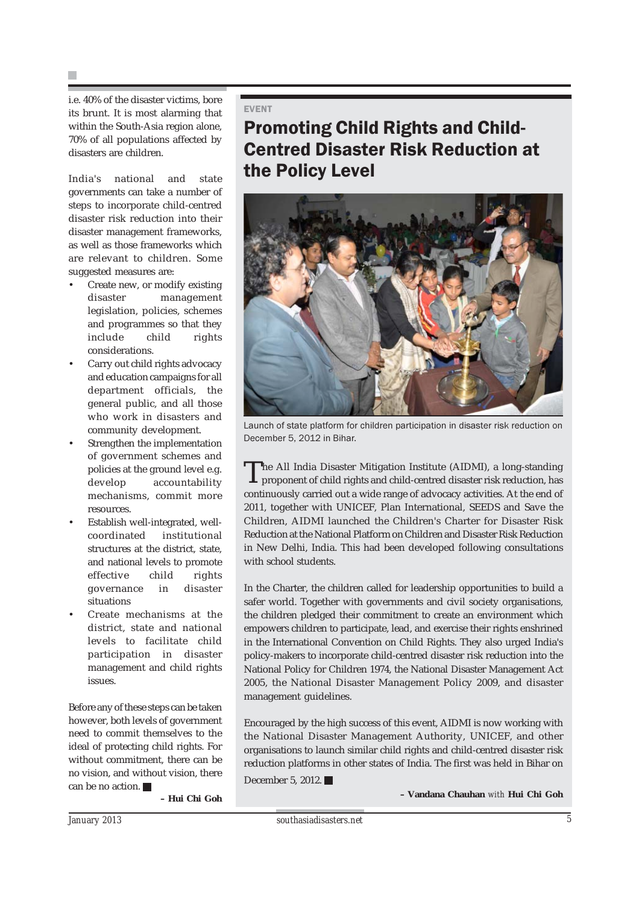H.

i.e. 40% of the disaster victims, bore its brunt. It is most alarming that within the South-Asia region alone, 70% of all populations affected by disasters are children.

India's national and state governments can take a number of steps to incorporate child-centred disaster risk reduction into their disaster management frameworks, as well as those frameworks which are relevant to children. Some suggested measures are:

- Create new, or modify existing disaster management legislation, policies, schemes and programmes so that they include child rights considerations.
- Carry out child rights advocacy and education campaigns for all department officials, the general public, and all those who work in disasters and community development.
- Strengthen the implementation of government schemes and policies at the ground level e.g. develop accountability mechanisms, commit more resources.
- Establish well-integrated, wellcoordinated institutional structures at the district, state, and national levels to promote effective child rights governance in disaster situations
- Create mechanisms at the district, state and national levels to facilitate child participation in disaster management and child rights issues.

Before any of these steps can be taken however, both levels of government need to commit themselves to the ideal of protecting child rights. For without commitment, there can be no vision, and without vision, there can be no action.

**– Hui Chi Goh**

### EVENT

### Promoting Child Rights and Child-Centred Disaster Risk Reduction at the Policy Level



Launch of state platform for children participation in disaster risk reduction on December 5, 2012 in Bihar.

The All India Disaster Mitigation Institute (AIDMI), a long-standing proponent of child rights and child-centred disaster risk reduction, has continuously carried out a wide range of advocacy activities. At the end of 2011, together with UNICEF, Plan International, SEEDS and Save the Children, AIDMI launched the Children's Charter for Disaster Risk Reduction at the National Platform on Children and Disaster Risk Reduction in New Delhi, India. This had been developed following consultations with school students.

In the Charter, the children called for leadership opportunities to build a safer world. Together with governments and civil society organisations, the children pledged their commitment to create an environment which empowers children to participate, lead, and exercise their rights enshrined in the International Convention on Child Rights. They also urged India's policy-makers to incorporate child-centred disaster risk reduction into the National Policy for Children 1974, the National Disaster Management Act 2005, the National Disaster Management Policy 2009, and disaster management guidelines.

Encouraged by the high success of this event, AIDMI is now working with the National Disaster Management Authority, UNICEF, and other organisations to launch similar child rights and child-centred disaster risk reduction platforms in other states of India. The first was held in Bihar on

December 5, 2012.

**– Vandana Chauhan** *with* **Hui Chi Goh**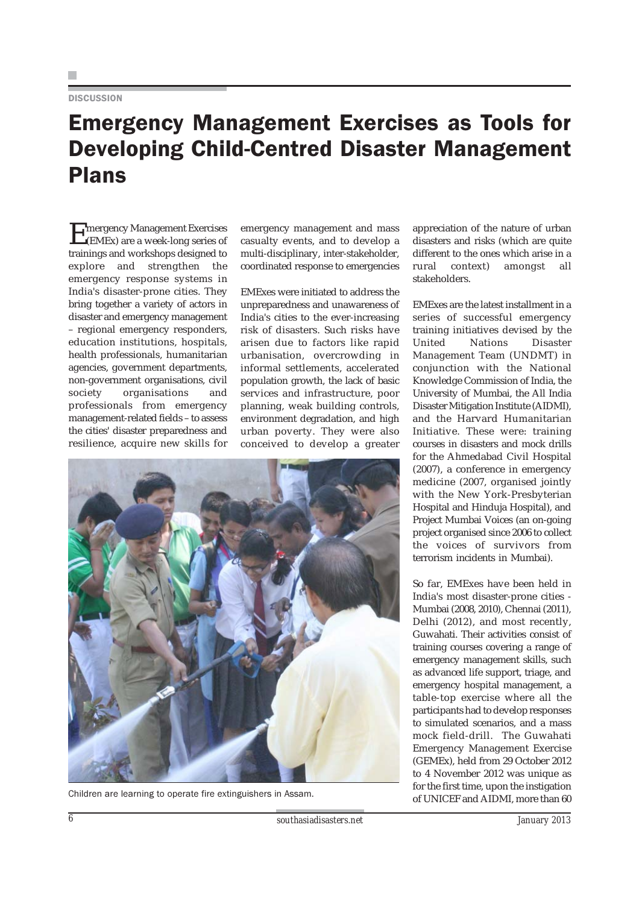### Emergency Management Exercises as Tools for Developing Child-Centred Disaster Management Plans

**Exercises**<br>Exercises (EMEx) are a week-long series of trainings and workshops designed to explore and strengthen the emergency response systems in India's disaster-prone cities. They bring together a variety of actors in disaster and emergency management – regional emergency responders, education institutions, hospitals, health professionals, humanitarian agencies, government departments, non-government organisations, civil society organisations and professionals from emergency management-related fields – to assess the cities' disaster preparedness and resilience, acquire new skills for

emergency management and mass casualty events, and to develop a multi-disciplinary, inter-stakeholder, coordinated response to emergencies

EMExes were initiated to address the unpreparedness and unawareness of India's cities to the ever-increasing risk of disasters. Such risks have arisen due to factors like rapid urbanisation, overcrowding in informal settlements, accelerated population growth, the lack of basic services and infrastructure, poor planning, weak building controls, environment degradation, and high urban poverty. They were also conceived to develop a greater



appreciation of the nature of urban disasters and risks (which are quite different to the ones which arise in a rural context) amongst all stakeholders.

EMExes are the latest installment in a series of successful emergency training initiatives devised by the United Nations Disaster Management Team (UNDMT) in conjunction with the National Knowledge Commission of India, the University of Mumbai, the All India Disaster Mitigation Institute (AIDMI), and the Harvard Humanitarian Initiative. These were: training courses in disasters and mock drills for the Ahmedabad Civil Hospital (2007), a conference in emergency medicine (2007, organised jointly with the New York-Presbyterian Hospital and Hinduja Hospital), and Project Mumbai Voices (an on-going project organised since 2006 to collect the voices of survivors from terrorism incidents in Mumbai).

So far, EMExes have been held in India's most disaster-prone cities - Mumbai (2008, 2010), Chennai (2011), Delhi (2012), and most recently, Guwahati. Their activities consist of training courses covering a range of emergency management skills, such as advanced life support, triage, and emergency hospital management, a table-top exercise where all the participants had to develop responses to simulated scenarios, and a mass mock field-drill. The Guwahati Emergency Management Exercise (GEMEx), held from 29 October 2012 to 4 November 2012 was unique as for the first time, upon the instigation of UNICEF and AIDMI, more than 60 Children are learning to operate fire extinguishers in Assam.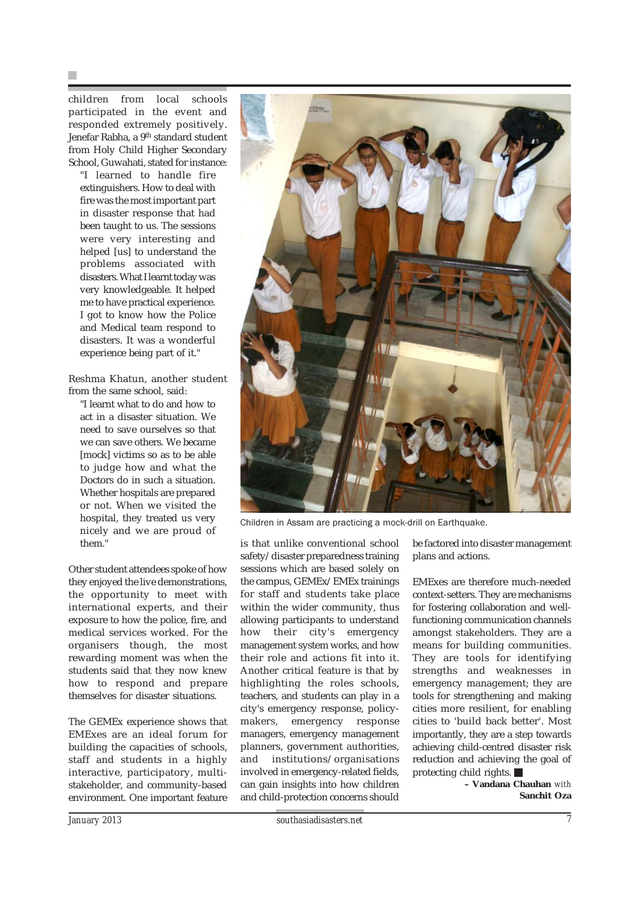children from local schools participated in the event and responded extremely positively. Jenefar Rabha, a 9<sup>th</sup> standard student from Holy Child Higher Secondary School, Guwahati, stated for instance:

"I learned to handle fire extinguishers. How to deal with fire was the most important part in disaster response that had been taught to us. The sessions were very interesting and helped [us] to understand the problems associated with disasters. What I learnt today was very knowledgeable. It helped me to have practical experience. I got to know how the Police and Medical team respond to disasters. It was a wonderful experience being part of it."

Reshma Khatun, another student from the same school, said:

"I learnt what to do and how to act in a disaster situation. We need to save ourselves so that we can save others. We became [mock] victims so as to be able to judge how and what the Doctors do in such a situation. Whether hospitals are prepared or not. When we visited the hospital, they treated us very nicely and we are proud of them."

Other student attendees spoke of how they enjoyed the live demonstrations, the opportunity to meet with international experts, and their exposure to how the police, fire, and medical services worked. For the organisers though, the most rewarding moment was when the students said that they now knew how to respond and prepare themselves for disaster situations.

The GEMEx experience shows that EMExes are an ideal forum for building the capacities of schools, staff and students in a highly interactive, participatory, multistakeholder, and community-based environment. One important feature



Children in Assam are practicing a mock-drill on Earthquake.

is that unlike conventional school safety/disaster preparedness training sessions which are based solely on the campus, GEMEx/EMEx trainings for staff and students take place within the wider community, thus allowing participants to understand how their city's emergency management system works, and how their role and actions fit into it. Another critical feature is that by highlighting the roles schools, teachers, and students can play in a city's emergency response, policymakers, emergency response managers, emergency management planners, government authorities, and institutions/organisations involved in emergency-related fields, can gain insights into how children and child-protection concerns should

be factored into disaster management plans and actions.

EMExes are therefore much-needed context-setters. They are mechanisms for fostering collaboration and wellfunctioning communication channels amongst stakeholders. They are a means for building communities. They are tools for identifying strengths and weaknesses in emergency management; they are tools for strengthening and making cities more resilient, for enabling cities to 'build back better'. Most importantly, they are a step towards achieving child-centred disaster risk reduction and achieving the goal of protecting child rights.

> **– Vandana Chauhan** *with* **Sanchit Oza**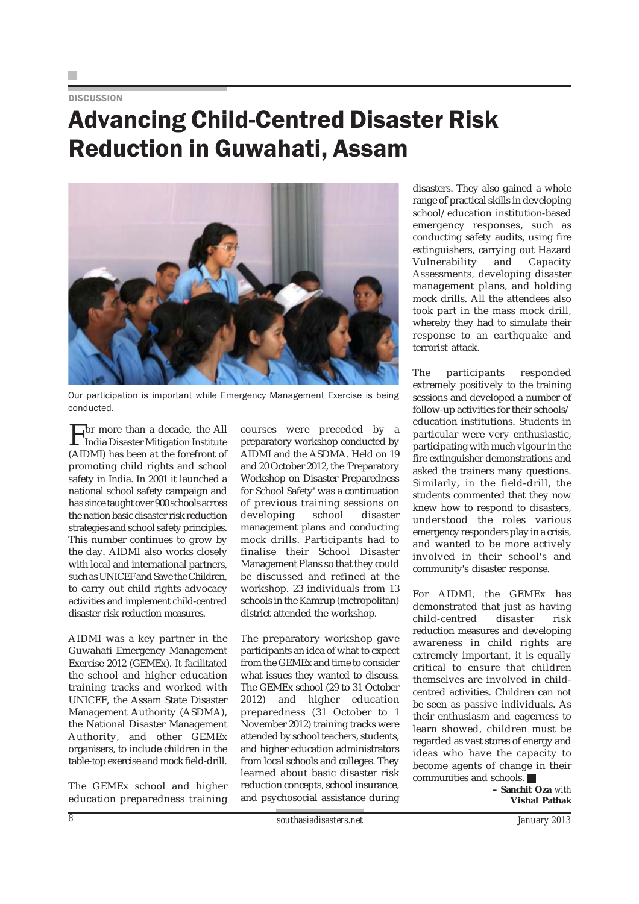## Advancing Child-Centred Disaster Risk Reduction in Guwahati, Assam



Our participation is important while Emergency Management Exercise is being conducted.

For more than a decade, the All<br>India Disaster Mitigation Institute (AIDMI) has been at the forefront of promoting child rights and school safety in India. In 2001 it launched a national school safety campaign and has since taught over 900 schools across the nation basic disaster risk reduction strategies and school safety principles. This number continues to grow by the day. AIDMI also works closely with local and international partners, such as UNICEF and Save the Children, to carry out child rights advocacy activities and implement child-centred disaster risk reduction measures.

AIDMI was a key partner in the Guwahati Emergency Management Exercise 2012 (GEMEx). It facilitated the school and higher education training tracks and worked with UNICEF, the Assam State Disaster Management Authority (ASDMA), the National Disaster Management Authority, and other GEMEx organisers, to include children in the table-top exercise and mock field-drill.

The GEMEx school and higher education preparedness training courses were preceded by a preparatory workshop conducted by AIDMI and the ASDMA. Held on 19 and 20 October 2012, the 'Preparatory Workshop on Disaster Preparedness for School Safety' was a continuation of previous training sessions on developing school disaster management plans and conducting mock drills. Participants had to finalise their School Disaster Management Plans so that they could be discussed and refined at the workshop. 23 individuals from 13 schools in the Kamrup (metropolitan) district attended the workshop.

The preparatory workshop gave participants an idea of what to expect from the GEMEx and time to consider what issues they wanted to discuss. The GEMEx school (29 to 31 October 2012) and higher education preparedness (31 October to 1 November 2012) training tracks were attended by school teachers, students, and higher education administrators from local schools and colleges. They learned about basic disaster risk reduction concepts, school insurance, and psychosocial assistance during

disasters. They also gained a whole range of practical skills in developing school/education institution-based emergency responses, such as conducting safety audits, using fire extinguishers, carrying out Hazard Vulnerability and Capacity Assessments, developing disaster management plans, and holding mock drills. All the attendees also took part in the mass mock drill, whereby they had to simulate their response to an earthquake and terrorist attack.

The participants responded extremely positively to the training sessions and developed a number of follow-up activities for their schools/ education institutions. Students in particular were very enthusiastic, participating with much vigour in the fire extinguisher demonstrations and asked the trainers many questions. Similarly, in the field-drill, the students commented that they now knew how to respond to disasters, understood the roles various emergency responders play in a crisis, and wanted to be more actively involved in their school's and community's disaster response.

For AIDMI, the GEMEx has demonstrated that just as having child-centred disaster risk reduction measures and developing awareness in child rights are extremely important, it is equally critical to ensure that children themselves are involved in childcentred activities. Children can not be seen as passive individuals. As their enthusiasm and eagerness to learn showed, children must be regarded as vast stores of energy and ideas who have the capacity to become agents of change in their communities and schools.

**– Sanchit Oza** *with* **Vishal Pathak**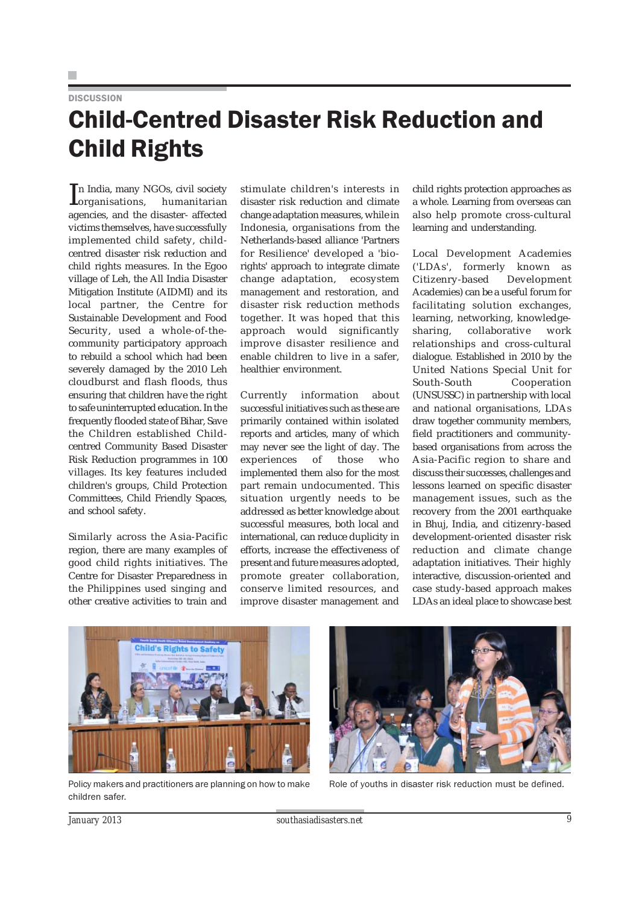## Child-Centred Disaster Risk Reduction and Child Rights

In India, many NGOs, civil society<br>
Iorganisations, humanitarian organisations, humanitarian agencies, and the disaster- affected victims themselves, have successfully implemented child safety, childcentred disaster risk reduction and child rights measures. In the Egoo village of Leh, the All India Disaster Mitigation Institute (AIDMI) and its local partner, the Centre for Sustainable Development and Food Security, used a whole-of-thecommunity participatory approach to rebuild a school which had been severely damaged by the 2010 Leh cloudburst and flash floods, thus ensuring that children have the right to safe uninterrupted education. In the frequently flooded state of Bihar, Save the Children established Childcentred Community Based Disaster Risk Reduction programmes in 100 villages. Its key features included children's groups, Child Protection Committees, Child Friendly Spaces, and school safety.

Similarly across the Asia-Pacific region, there are many examples of good child rights initiatives. The Centre for Disaster Preparedness in the Philippines used singing and other creative activities to train and

stimulate children's interests in disaster risk reduction and climate change adaptation measures, while in Indonesia, organisations from the Netherlands-based alliance 'Partners for Resilience' developed a 'biorights' approach to integrate climate change adaptation, ecosystem management and restoration, and disaster risk reduction methods together. It was hoped that this approach would significantly improve disaster resilience and enable children to live in a safer, healthier environment.

Currently information about successful initiatives such as these are primarily contained within isolated reports and articles, many of which may never see the light of day. The experiences of those who implemented them also for the most part remain undocumented. This situation urgently needs to be addressed as better knowledge about successful measures, both local and international, can reduce duplicity in efforts, increase the effectiveness of present and future measures adopted, promote greater collaboration, conserve limited resources, and improve disaster management and

child rights protection approaches as a whole. Learning from overseas can also help promote cross-cultural learning and understanding.

Local Development Academies ('LDAs', formerly known as Citizenry-based Development Academies) can be a useful forum for facilitating solution exchanges, learning, networking, knowledgesharing, collaborative work relationships and cross-cultural dialogue. Established in 2010 by the United Nations Special Unit for South-South Cooperation (UNSUSSC) in partnership with local and national organisations, LDAs draw together community members, field practitioners and communitybased organisations from across the Asia-Pacific region to share and discuss their successes, challenges and lessons learned on specific disaster management issues, such as the recovery from the 2001 earthquake in Bhuj, India, and citizenry-based development-oriented disaster risk reduction and climate change adaptation initiatives. Their highly interactive, discussion-oriented and case study-based approach makes LDAs an ideal place to showcase best



Policy makers and practitioners are planning on how to make children safer.



Role of youths in disaster risk reduction must be defined.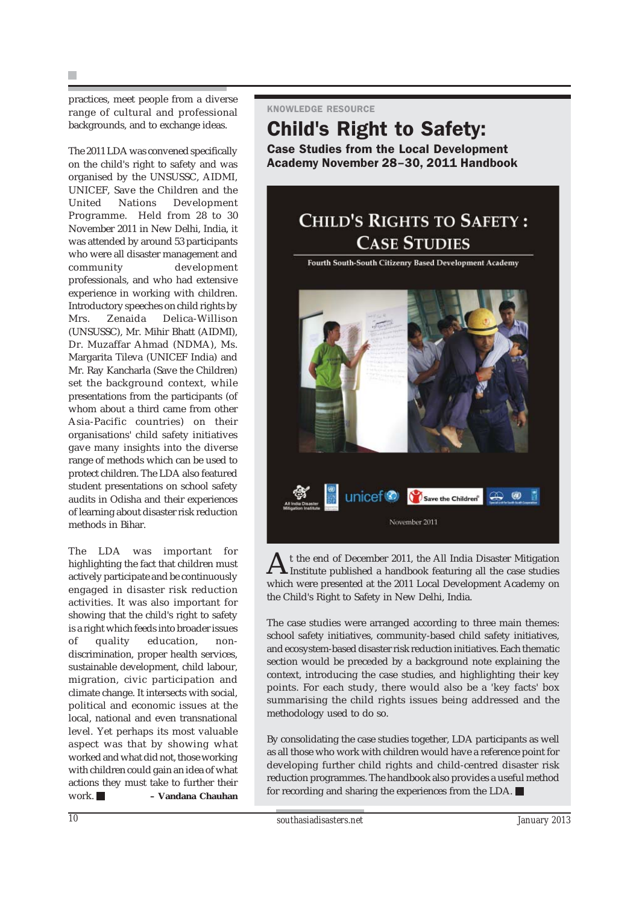practices, meet people from a diverse range of cultural and professional backgrounds, and to exchange ideas.

The 2011 LDA was convened specifically on the child's right to safety and was organised by the UNSUSSC, AIDMI, UNICEF, Save the Children and the United Nations Development Programme. Held from 28 to 30 November 2011 in New Delhi, India, it was attended by around 53 participants who were all disaster management and community development professionals, and who had extensive experience in working with children. Introductory speeches on child rights by Mrs. Zenaida Delica-Willison (UNSUSSC), Mr. Mihir Bhatt (AIDMI), Dr. Muzaffar Ahmad (NDMA), Ms. Margarita Tileva (UNICEF India) and Mr. Ray Kancharla (Save the Children) set the background context, while presentations from the participants (of whom about a third came from other Asia-Pacific countries) on their organisations' child safety initiatives gave many insights into the diverse range of methods which can be used to protect children. The LDA also featured student presentations on school safety audits in Odisha and their experiences of learning about disaster risk reduction methods in Bihar.

The LDA was important for highlighting the fact that children must actively participate and be continuously engaged in disaster risk reduction activities. It was also important for showing that the child's right to safety is a right which feeds into broader issues of quality education, nondiscrimination, proper health services, sustainable development, child labour, migration, civic participation and climate change. It intersects with social, political and economic issues at the local, national and even transnational level. Yet perhaps its most valuable aspect was that by showing what worked and what did not, those working with children could gain an idea of what actions they must take to further their work. **– Vandana Chauhan**

### KNOWLEDGE RESOURCE

### Child's Right to Safety:

Case Studies from the Local Development Academy November 28–30, 2011 Handbook

### CHILD'S RIGHTS TO SAFETY: **CASE STUDIES**

Fourth South-South Citizenry Based Development Academy **UNICEFO** Save the Children<sup>®</sup> November 2011

At the end of December 2011, the All India Disaster Mitigation Institute published a handbook featuring all the case studies which were presented at the 2011 Local Development Academy on the Child's Right to Safety in New Delhi, India.

The case studies were arranged according to three main themes: school safety initiatives, community-based child safety initiatives, and ecosystem-based disaster risk reduction initiatives. Each thematic section would be preceded by a background note explaining the context, introducing the case studies, and highlighting their key points. For each study, there would also be a 'key facts' box summarising the child rights issues being addressed and the methodology used to do so.

By consolidating the case studies together, LDA participants as well as all those who work with children would have a reference point for developing further child rights and child-centred disaster risk reduction programmes. The handbook also provides a useful method for recording and sharing the experiences from the LDA.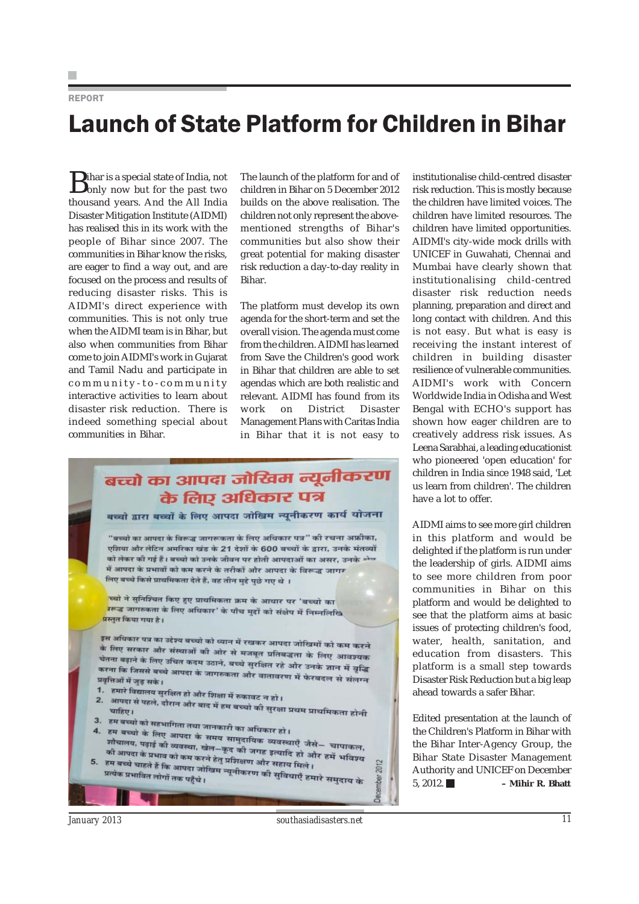### REPORT

## Launch of State Platform for Children in Bihar

**B**ihar is a special state of India, not **b**only now but for the past two thousand years. And the All India Disaster Mitigation Institute (AIDMI) has realised this in its work with the people of Bihar since 2007. The communities in Bihar know the risks, are eager to find a way out, and are focused on the process and results of reducing disaster risks. This is AIDMI's direct experience with communities. This is not only true when the AIDMI team is in Bihar, but also when communities from Bihar come to join AIDMI's work in Gujarat and Tamil Nadu and participate in community-to-community interactive activities to learn about disaster risk reduction. There is indeed something special about communities in Bihar.

The launch of the platform for and of children in Bihar on 5 December 2012 builds on the above realisation. The children not only represent the abovementioned strengths of Bihar's communities but also show their great potential for making disaster risk reduction a day-to-day reality in Bihar.

The platform must develop its own agenda for the short-term and set the overall vision. The agenda must come from the children. AIDMI has learned from Save the Children's good work in Bihar that children are able to set agendas which are both realistic and relevant. AIDMI has found from its work on District Disaster Management Plans with Caritas India in Bihar that it is not easy to

### बच्चो का आपदा जोखिम न्यूनीकरण के लिए अधिकार पत्र बच्चो द्वारा बच्चों के लिए आपदा जोखिम न्यूनीकरण कार्य योजना

"बच्चो का आपदा के विरूद्ध जागरूकता के लिए अधिकार पत्र" की रचना अफ्रीका, एशिया और लेटिन अमरिका खंड के 21 देशों के 600 बच्चों के द्वारा, उनके मंतव्यों को लेकर की गई हैं। बच्चो को उनके जीवन पर होती आपदाओं का असर, उनके श्रेत में आपदा के प्रभावों को कम करने के तरीकों और आपदा के विरूद्ध जागर लिए बच्चे किसे प्राथमिकता देते हैं, वह तीन मुद्दे पुछे गए थे ।

<mark>च्चो ने सुनिश्चित किए हुए प्राथमिकता क्रम के आधार पर 'बच्चो का</mark> .<br>उरूद्ध जागरुकता के लिए अधिकार' के पाँच मुद्दों को संक्षेप में निम्नलिखि .<br>प्रस्तत किया गया है।

इस अधिकार पत्र का उद्देश्य बच्चो को ध्यान में रखकर आपदा जोखिमों को कम करने<br>के लिए सरकार और संख्यान के पी के लिए सरकार भा अदय बच्चा का व्यान में रखकर आपदा जोखिमों को कम करने<br>के लिए सरकार और संस्थाओं की ओर से मजबूत प्रतिबद्धता के लिए आवश्यक स्तिति सरकार आर संस्थाओं का आर से मजबूत प्रतिबद्धता के लिए आवश्यक<br>चेतना बढ़ाने के लिए उचित कदम उठाने, बच्चे सुरक्षित रहे और उनके ज्ञान में वृद्धि<br>करना कि जिससे बच्चे अग्रखा के जाएगा ्यामा करीन के लिए अचेत कदम उठाने, बच्चे सुरक्षित रहे और उनके ज्ञान में वृद्धि<br>करना कि जिससे बच्चे आपदा के जागरुकता और वातावरण में फेरबदल से संलग्न<br>प्रवृत्तिओं में जुड़ सके। प्रवृत्तिओं में जुड़ सके।

- ्रदृष्ट्यानां ने जुड़ सके ।<br>1. हमारे विद्यालय सुरक्षित हो और शिक्षा में रुकावट न हो ।<br>2. आपदा से पहले, जैसक औ
- 
- 3. हम बच्चो को सहभागिता तथा जानकारी का अधिकार हो ।<br>4. हम बच्चो के लिए अग्राम के ः ० - व्या का सहभागिता तथा जानकारी का अधिकार हो ।<br>4. हम बच्चो के लिए आपदा के समय सामुदायिक व्यवस्थाएँ जैसे– चापाकल,<br>शौचालय, पढ़ाई की व्यवस्था, खेल–कद की जगन उच्चारि , जैसे– चापाकल, ून च्या के लिए आपदा के समय सामुदायिक व्यवस्थाएँ जैसे– चापाकल,<br>कौआपदा के प्रभाइं की व्यवस्था, खेल–कूद की जगह इत्यादि हो और हमें भविज्ञ्य<br>हम बच्चे ज्यान को कम करने हेतु प्रशिक्षण और सदार कि कोर हमें भविज्ञ्य
- रगपालय, पढ़ाइ को व्यवस्था, खेल–कूद की जगह इत्यादि हो औ<br>को आपदा के प्रभाव को कम करने हेतु प्रशिक्षण और सहाय मिले।<br>हम बच्चे चाहते हैं कि आपदा जोखिम न्यूजीवरण और सहाय मिले। को आपदा के प्रभाव को कम करने हेतु प्रशिक्षण और सहाथ मिले ।<br>5. हम बच्चे चाहते हैं कि आपदा जोखिम न्यूनीकरण और सहाथ मिले ।<br>प्रत्येक प्रभावित लोगों तक पहुँचे ।

institutionalise child-centred disaster risk reduction. This is mostly because the children have limited voices. The children have limited resources. The children have limited opportunities. AIDMI's city-wide mock drills with UNICEF in Guwahati, Chennai and Mumbai have clearly shown that institutionalising child-centred disaster risk reduction needs planning, preparation and direct and long contact with children. And this is not easy. But what is easy is receiving the instant interest of children in building disaster resilience of vulnerable communities. AIDMI's work with Concern Worldwide India in Odisha and West Bengal with ECHO's support has shown how eager children are to creatively address risk issues. As Leena Sarabhai, a leading educationist who pioneered 'open education' for children in India since 1948 said, 'Let us learn from children'. The children have a lot to offer.

AIDMI aims to see more girl children in this platform and would be delighted if the platform is run under the leadership of girls. AIDMI aims to see more children from poor communities in Bihar on this platform and would be delighted to see that the platform aims at basic issues of protecting children's food, water, health, sanitation, and education from disasters. This platform is a small step towards Disaster Risk Reduction but a big leap ahead towards a safer Bihar.

Edited presentation at the launch of the Children's Platform in Bihar with the Bihar Inter-Agency Group, the Bihar State Disaster Management Authority and UNICEF on December 5, 2012. **– Mihir R. Bhatt**

2012 mber